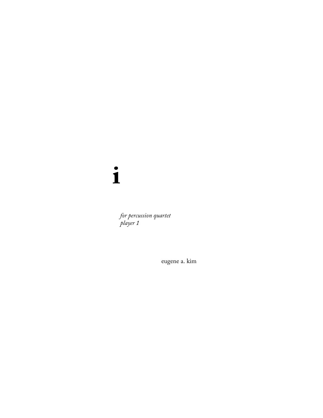## $\mathbf{i}$

for percussion quartet player 1

eugene a. kim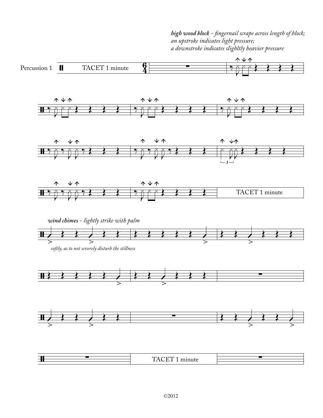*high wood block - ngernail scrape across length of block; an upstroke indicates light pressure; a downstroke indicates slighltly heavier pressure*